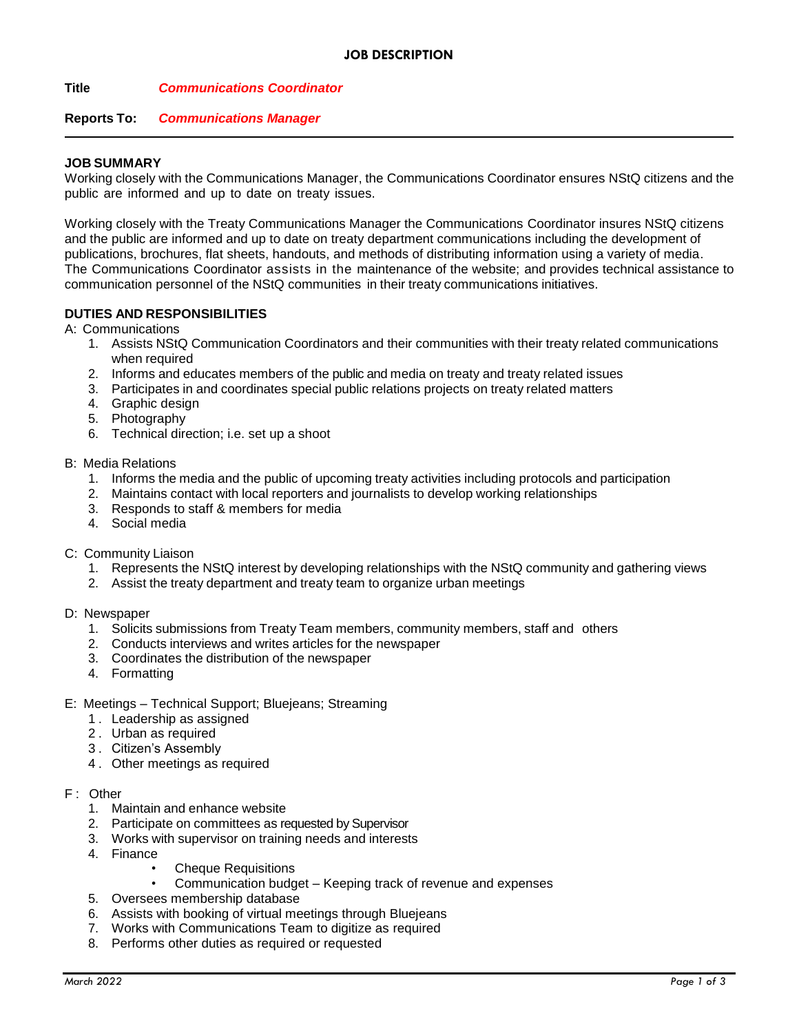**Title** *Communications Coordinator*

## **Reports To:** *Communications Manager*

## **JOB SUMMARY**

Working closely with the Communications Manager, the Communications Coordinator ensures NStQ citizens and the public are informed and up to date on treaty issues.

Working closely with the Treaty Communications Manager the Communications Coordinator insures NStQ citizens and the public are informed and up to date on treaty department communications including the development of publications, brochures, flat sheets, handouts, and methods of distributing information using a variety of media. The Communications Coordinator assists in the maintenance of the website; and provides technical assistance to communication personnel of the NStQ communities in their treaty communications initiatives.

## **DUTIES AND RESPONSIBILITIES**

A: Communications

- 1. Assists NStQ Communication Coordinators and their communities with their treaty related communications when required
- 2. Informs and educates members of the public and media on treaty and treaty related issues
- 3. Participates in and coordinates special public relations projects on treaty related matters
- 4. Graphic design
- 5. Photography
- 6. Technical direction; i.e. set up a shoot

### B: Media Relations

- 1. Informs the media and the public of upcoming treaty activities including protocols and participation
- 2. Maintains contact with local reporters and journalists to develop working relationships
- 3. Responds to staff & members for media
- 4. Social media

## C: Community Liaison

- 1. Represents the NStQ interest by developing relationships with the NStQ community and gathering views
- 2. Assist the treaty department and treaty team to organize urban meetings
- D: Newspaper
	- 1. Solicits submissions from Treaty Team members, community members, staff and others
	- 2. Conducts interviews and writes articles for the newspaper
	- 3. Coordinates the distribution of the newspaper
	- 4. Formatting
- E: Meetings Technical Support; Bluejeans; Streaming
	- 1 . Leadership as assigned
	- 2 . Urban as required
	- 3 . Citizen's Assembly
	- 4 . Other meetings as required
- F : Other
	- 1. Maintain and enhance website
	- 2. Participate on committees as requested by Supervisor
	- 3. Works with supervisor on training needs and interests
	- 4. Finance
		- Cheque Requisitions
		- Communication budget Keeping track of revenue and expenses
	- 5. Oversees membership database
	- 6. Assists with booking of virtual meetings through Bluejeans
	- 7. Works with Communications Team to digitize as required
	- 8. Performs other duties as required or requested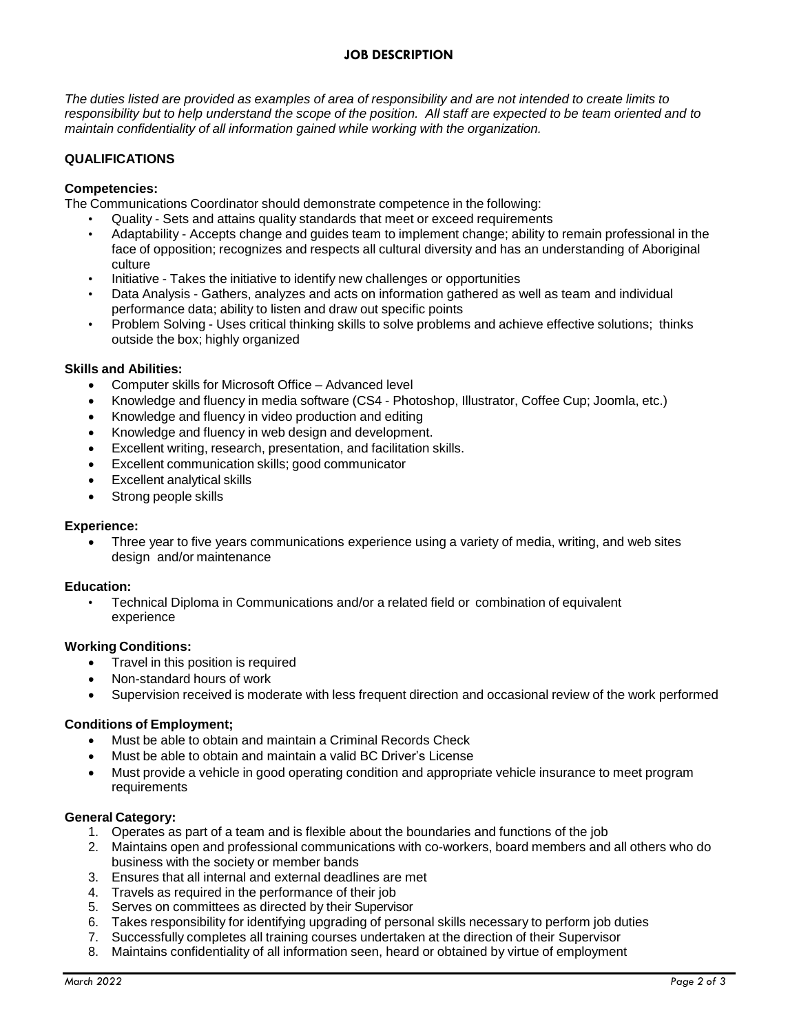# **JOB DESCRIPTION**

The duties listed are provided as examples of area of responsibility and are not intended to create limits to responsibility but to help understand the scope of the position. All staff are expected to be team oriented and to *maintain confidentiality of all information gained while working with the organization.*

## **QUALIFICATIONS**

## **Competencies:**

The Communications Coordinator should demonstrate competence in the following:

- Quality Sets and attains quality standards that meet or exceed requirements
- Adaptability Accepts change and guides team to implement change; ability to remain professional in the face of opposition; recognizes and respects all cultural diversity and has an understanding of Aboriginal culture
- Initiative Takes the initiative to identify new challenges or opportunities
- Data Analysis Gathers, analyzes and acts on information gathered as well as team and individual performance data; ability to listen and draw out specific points
- Problem Solving Uses critical thinking skills to solve problems and achieve effective solutions; thinks outside the box; highly organized

## **Skills and Abilities:**

- Computer skills for Microsoft Office Advanced level
- Knowledge and fluency in media software (CS4 Photoshop, Illustrator, Coffee Cup; Joomla, etc.)
- Knowledge and fluency in video production and editing
- Knowledge and fluency in web design and development.
- Excellent writing, research, presentation, and facilitation skills.
- Excellent communication skills; good communicator
- Excellent analytical skills
- Strong people skills

### **Experience:**

 Three year to five years communications experience using a variety of media, writing, and web sites design and/or maintenance

### **Education:**

• Technical Diploma in Communications and/or a related field or combination of equivalent experience

### **Working Conditions:**

- Travel in this position is required
- Non-standard hours of work
- Supervision received is moderate with less frequent direction and occasional review of the work performed

### **Conditions of Employment;**

- Must be able to obtain and maintain a Criminal Records Check
- Must be able to obtain and maintain a valid BC Driver's License
- Must provide a vehicle in good operating condition and appropriate vehicle insurance to meet program requirements

### **General Category:**

- 1. Operates as part of a team and is flexible about the boundaries and functions of the job
- 2. Maintains open and professional communications with co-workers, board members and all others who do business with the society or member bands
- 3. Ensures that all internal and external deadlines are met
- 4. Travels as required in the performance of their job
- 5. Serves on committees as directed by their Supervisor
- 6. Takes responsibility for identifying upgrading of personal skills necessary to perform job duties
- 7. Successfully completes all training courses undertaken at the direction of their Supervisor
- 8. Maintains confidentiality of all information seen, heard or obtained by virtue of employment